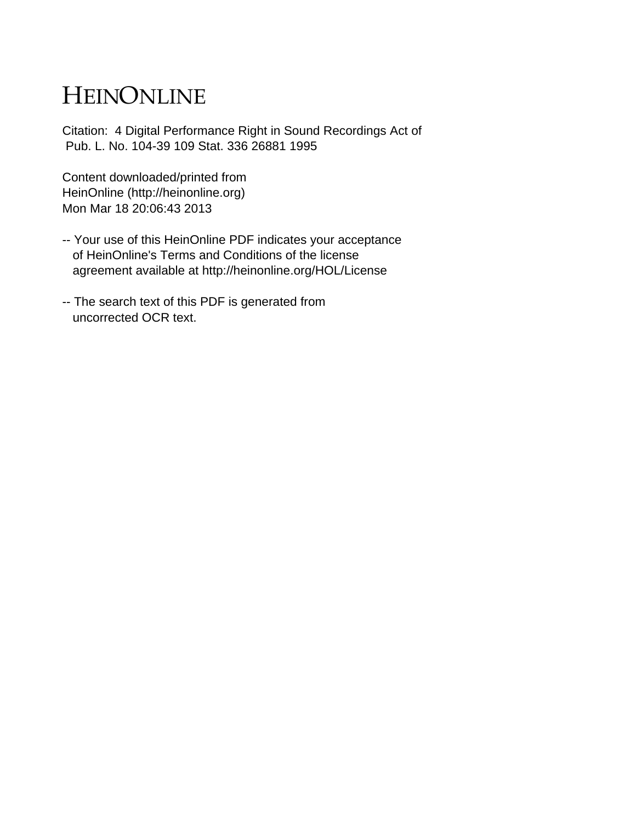# HEINONLINE

Citation: 4 Digital Performance Right in Sound Recordings Act of Pub. L. No. 104-39 109 Stat. 336 26881 1995

Content downloaded/printed from HeinOnline (http://heinonline.org) Mon Mar 18 20:06:43 2013

- -- Your use of this HeinOnline PDF indicates your acceptance of HeinOnline's Terms and Conditions of the license agreement available at http://heinonline.org/HOL/License
- -- The search text of this PDF is generated from uncorrected OCR text.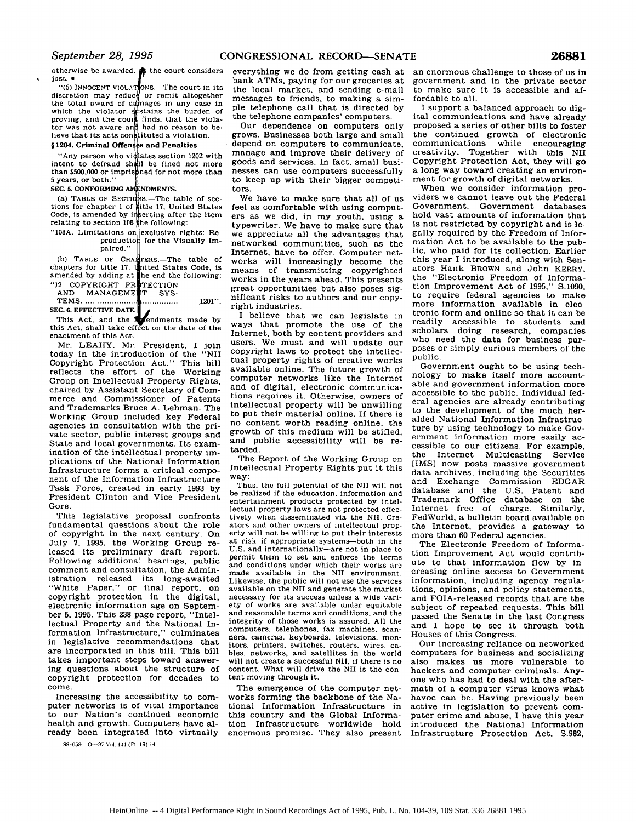otherwise be awarded.  $\phi$  the court considers just. **a**

"(5) INNOCENT VIOLATONS.—The court in its discretion may reduce or remit altogether the total award of damages in any case in which the violator species the burden of proving, and the count finds, that the violator was not aware and had no reason to be-<br>lieve that its acts constituted a violation.

#### § 1204. Criminal Offenses and Penalties

"Any person who vigilates section 1202 with intent to defraud sh **11** be fined not more than  $$500,000$  or imprissimed for not more than 5 years, or both."

SEC. 5. CONFORMING AMENDMENTS.

(a) TABLE OF SECTIONS.—The table of sections for chapter 1 of sitle 17, United States Code, is amended by inserting after the item relating to section **108** he following:

## "108A. Limitations on exclusive rights: Repart of the Visually Impaired."

(b) TABLE OF CHAPTERS.—The table of chapters for title 17, united States Code, is amended by adding at the end the following: "12. COPYRIGHT PROTECTION

### AND MANAGEMENT SYS-

T EM S **.......................** ............... .1201". **SEC. 6.** EFFECTIVE **DATE.**

This Act, and the **extendments** made by this Act, shall take effect on the date of the enactment of this Act.

Mr. LEAHY. Mr. President, I join today in the introduction of the "NII Copyright Protection Act." This bill reflects the effort of the Working Group on Intellectual Property Rights, chaired by Assistant Secretary of Commerce and Commissioner of Patents and Trademarks Bruce A. Lehman. The Working Group included key Federal agencies in consultation with the private sector, public interest groups and State and local governments. Its examination of the intellectual property implications of the National Information Infrastructure forms a critical component of the Information Infrastructure Task Force, created in early 1993 by President Clinton and Vice President Gore.

This legislative proposal confronts fundamental questions about the role of copyright in the next century. On July 7, 1995, the Working Group released its preliminary draft report. Following additional hearings, public comment and consultation, the Administration released its long-awaited "White Paper," or final report, on copyright protection in the digital, electronic information age on September **5,** 1995. This 238-page report, "Intellectual Property and the National Information Infrastructure," culminates in legislative recommendations that are incorporated in this bill. This bill takes important steps toward answering questions about the structure of copyright protection for decades to come.

Increasing the accessibility to computer networks is of vital importance to our Nation's continued economic health and growth. Computers have already been integrated into virtually

99-059 O-97 'ol. **141** (Pt. **19)** <sup>14</sup>

everything we do from getting cash at bank ATMs, paying for our groceries at the local market, and sending e-mail messages to friends, to making a simple telephone call that is directed by the telephone companies' computers.

Our dependence on computers only grows. Businesses both large and small depend on computers to communicate, manage and improve their delivery of goods and services. In fact, small businesses can use computers successfully to keep up with their bigger competitors.

We have to make sure that all of us feel as comfortable with using computers as we did, in my youth, using a typewriter. We have to make sure that we appreciate all the advantages that networked communities, such as the Internet, have to offer. Computer networks will increasingly become the means of transmitting copyrighted works in the years ahead. This presents great opportunities but also poses significant risks to authors and our copyright industries.

I believe that we can legislate in ways that promote the use of the Internet, both by content providers and users. We must and will update our copyright laws to protect the intellectual property rights of creative works available online. The future growth of computer networks like the Internet and of digital, electronic communications requires it. Otherwise, owners of intellectual property will be unwilling to put their material online. If there is no content worth reading online, the growth of this medium will be stifled, and public accessibility will be retarded.

The Report of the Working Group on Intellectual Property Rights put it this way:

Thus, the full potential of the NIl will not be realized if the education, information and entertainment products protected by intellectual property laws are not protected effectively when disseminated via the NIl. Creators and other owners of intellectual property will not be willing to put their interests at risk if appropriate systems-both in the U.S. and internationally-are not in place to permit them to set and enforce the terms and conditions under which their works are made available in the NII environment. Likewise, the public will not use the services available on the **NII** and generate the market necessary for its success unless a wide variety of works are available under equitable and reasonable terms and conditions, and the integrity of those works is assured. All the computers, telephones, fax machines, scan-<br>ners, cameras, keyboards, televisions, mon-<br>itors, printers, switches, routers, wires, ca-<br>bles, networks, and satellites in the world will not create a successful NII, if there is no content. What will drive the NII is the content moving through it.

The emergence of the computer networks forming the backbone of the National Information Infrastructure in this country and the Global Information Infrastructure worldwide hold enormous promise. They also present an enormous challenge to those of us in government and in the private sector to make sure it is accessible and affordable to all.

I support a balanced approach to digital communications and have already proposed a series of other bills to foster the continued growth of electronic communications while encouraging creativity. Together with this NII Copyright Protection Act, they will go a long way toward creating an environment for growth of digital networks.

When we consider information providers we cannot leave out the Federal Government. Government databases hold vast amounts of information that is not restricted by copyright and is legally required by the Freedom of Information Act to be available to the public, who paid for its collection. Earlier this year I introduced, along with Senators Hank BROWN and John KERRY, the "Electronic Freedom of Information Improvement Act of 1995," S.1090, to require federal agencies to make more information available in electronic form and online so that it can be readily accessible to students and scholars doing research, companies who need the data for business purposes or simply curious members of the public.

Government ought to be using technology to make itself more accountable and government information more accessible to the public. Individual federal agencies are already contributing to the development of the much heralded National Information Infrastructure by using technology to make Government information more easily accessible to our citizens. For example, Internet Multicasting Service [IMS] now posts massive government data archives, including the Securities and Exchange Commission EDGAR database and the U.S. Patent and Trademark Office database on the Internet free of charge. Similarly, FedWorld, a bulletin board available on the Internet, provides a gateway to more than 60 Federal agencies.

The Electronic Freedom of Information Improvement Act would contribute to that information flow by increasing online access to Government information, including agency regulations, opinions, and policy statements, and FOIA-released records that are the subject of repeated requests. This bill passed the Senate in the last Congress and I hope to see it through both Houses of this Congress.

Our increasing reliance on networked computers for business and socializing also makes us more vulnerable to hackers and computer criminals. Anyone who has had to deal with the aftermath of a computer virus knows what havoc can be. Having previously been active in legislation to prevent computer crime and abuse, I have this year introduced the National Information Infrastructure Protection Act, S.982,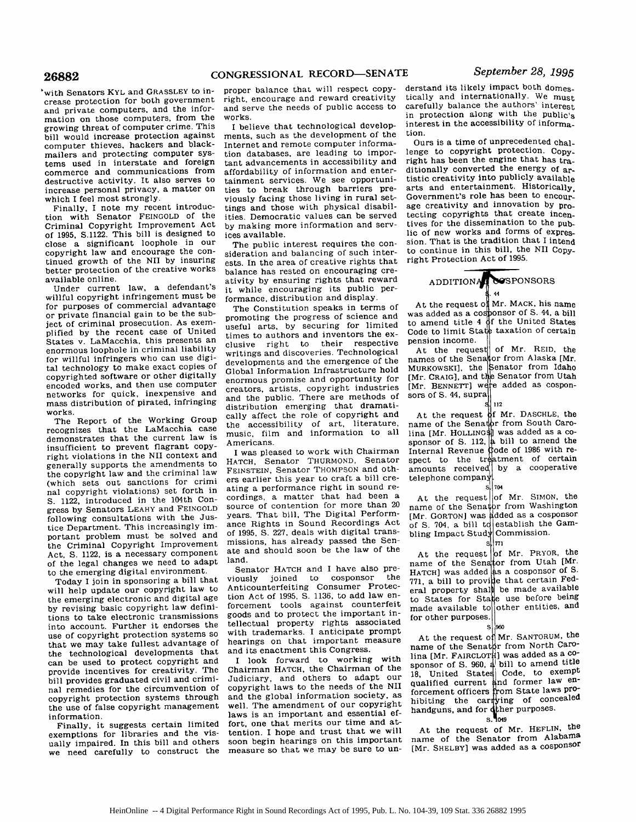with Senators **KYL** and GRASSLEY to increase protection for both government and private computers, and the information on those computers, from the growing threat of computer crime. This bill would increase protection against computer thieves, hackers and blackmailers and protecting computer systems used in interstate and foreign commerce and communications from destructive activity. It also serves to increase personal privacy, a matter on which I feel most strongly.

Finally, I note my recent introduction with Senator FEINGOLD of the Criminal Copyright Improvement Act of 1995, S.1122. This bill is designed to close a significant loophole in our copyright law and encourage the continued growth of the NII by insuring better protection of the creative works available online.

Under current law, a defendant's willful copyright infringement must be for purposes of commercial advantage or private financial gain to be the subject of criminal prosecution. As exemplified by the recent case of United States v. LaMacchia, this presents an enormous loophole in criminal liability for willful infringers who can use digital technology to make exact copies of copyrighted software or other digitally encoded works, and then use computer networks for quick, inexpensive and mass distribution of pirated, infringing works.

The Report of the Working Group recognizes that the LaMacchia case demonstrates that the current law is insufficient to prevent flagrant copyright violations in the NII context and generally supports the amendments to the copyright law and the criminal law (which sets out sanctions for crimi nal copyright violations) set forth in **S.** 1122, introduced in the 104th Congress by Senators LEAHY and FEINGOLD following consultations with the Justice Department. This increasingly important problem must be solved and the Criminal Copyright Improvement Act, **S.** 1122, is a necessary component of the legal changes we need to adapt to the emerging digital environment.

Today I join in sponsoring a bill that will help update our copyright law to the emerging electronic and digital age by revising basic copyright law definitions to take electronic transmissions into account. Further it endorses the use of copyright protection systems so that we may take fullest advantage of the technological developments that can be used to protect copyright and provide incentives for creativity. The bill provides graduated civil and criminal remedies for the circumvention of copyright protection systems through the use of false copyright management information.

Finally, it suggests certain limited exemptions for libraries and the visually impaired. In this bill and others we need carefully to construct the

proper balance that will respect copyright, encourage and reward creativity and serve the needs of public access to works.

I believe that technological developments, such as the development of the Internet and remote computer information databases, are leading to important advancements in accessibility and affordability of information and entertainment services. We see opportunities to break through barriers previously facing those living in rural settings and those with physical disabilities. Democratic values can be served by making more information and services available.

The public interest requires the consideration and balancing of such interests. In the area of creative rights that balance has rested on encouraging creativity by ensuring rights that reward it while encouraging its public performance, distribution and display.

The Constitution speaks in terms of promoting the progress of science and useful arts, by securing for limited times to authors and inventors the exclusive right to their respective writings and discoveries. Technological developments and the emergence of the Global Information Infrastructure hold enormous promise and opportunity for creators, artists, copyright industries and the public. There are methods of distribution emerging that dramatically affect the role of copyright and the accessibility of art, literature, music, film and information to all Americans.

I was pleased to work with Chairman HATCH, Senator THURMOND, Senator FEINSTEIN, Senator THOMPSON and others earlier this year to craft a bill creating a performance right in sound recordings, a matter that had been a source of contention for more than 20 years. That bill, The Digital Performance Rights in Sound Recordings Act of 1995, S. 227, deals with digital transmissions, has already passed the Senate and should soon be the law of the land.

Senator HATCH and I have also previously joined to cosponsor the Anticounterfeiting Consumer Protection Act of 1995, **S.** 1136, to add law enforcement tools against counterfeit goods and to protect the important intellectual property rights associated with trademarks. I anticipate prompt hearings on that important measure and its enactment this Congress.

I look forward to working with Chairman HATCH, the Chairman of the Judiciary, and others to adapt our copyright laws to the needs of the NII and the global information society, as well. The amendment of our copyright laws is an important and essential effort, one that merits our time and attention. I hope and trust that we will soon begin hearings on this important measure so that we may be sure to un-

derstand its likely impact both domestically and internationally. We must carefully balance the authors' interest in protection along with the public's interest in the accessibility of information.

Ours is a time of unprecedented challenge to copyright protection. Copyright has been the engine that has traditionally converted the energy **of** artistic creativity into publicly available arts and entertainment. Historically, Government's role has been to encourage creativity and innovation by protecting copyrights that create incentives for the dissemination to the public of new works and forms of expression. That is the tradition that I intend to continue in this bill, the NII Copyright Protection Act of 1995.

## ADDITION <sup>4</sup> **7SPONSORS** 44

At the request of Mr. MACK, his name At the request of<br>was added as a co,<br>to amend title 4 to amend title 4<br>Code to limit Sta pension income. nsion income.<br>At the request of Mr. REID, the **f**onsor of S. 44, a bill<br>f the United States the United States<br>texation of certain

names of the Senator from Alaska [Mr. mames of the Sell<br>Mungowegil, the MURKOWSKIJ, the<br>IMr. CRAIGL and t [Mr. BENNETT] were added as cosponsors of **S.** 44, supra of Mr. REID, the<br>or from Alaska [Mr. en from Alaska [Mr.<br>enator from Idaho nator from Idaho<br>Senator.from.Utah e Senator Irom Utah<br>e added as cospon-

112

<sup>5</sup> <sup>112</sup><br>At the request of Mr. DASCHLE, the At the request<br>name of the Sena name of the Senator from South Caro-<br>lina LMr. HOLLINGSH was added as a cosponsor of **S**. 112,  $\left| \frac{1}{2} \right|$  bill to amend the sponsor of S. 112,<br>Internal Revenue<br>spect to the tr spect to the tr<br>amounts received amounts received<br>telephone compan r Mr. DASCHLE, the<br>- from South Caro lina [Mr. HOLLING\$]] was added as a coode of 1986 with reode of 1986 with re-<br>straint of contain tment of certain<br>he a cooperative

s. 34<br>At the request of Mr. SIMON, the At the request of Mr. SIMON, the<br>name of the Senator from Washington name of the senator from washing to me.<br>[Mr. GORTON] was added as a cosponsor of **S.** 704, a bill tc of S. 704, a bill to establish the<br>bling Impact Study Commission of Mr. SIMON, the<br>Communister bling Impact Study Commission.<br> $\frac{1}{\sqrt{7}}$ 

704

At the request f Mr. PRYOR, the At the request of Mr. FRIOR, the<br>mame of the Senator from Utah [Mr. hame of the senator from b can then<br>HATCH] was added as a cosponsor of S.  $771$ , a bill to provide that certain Federation of  $\sim$  $\lceil \frac{1}{12} \rceil$ , a bill to provide that certain rode<br>eral property shall be made available eral property shall be made available<br>to States for State use before being to States ior Sta<br>mede available to made available t<br>for other purposes of Mr. PRYOR, une<br>... from Utah [Mr for other purposes.<br>  $\begin{vmatrix} 5 \\ 960 \end{vmatrix}$ 

<sup>S[960</sup><br>At the request of Mr. SANTORUM, the At the request of Mr. SANTORUM, the<br>name of the Senator from North Caroname of the Senator from Not the Care<br>lina [Mr. FAIRCLOTH] was added as a cosponsor of S. 960, a bill to amend title<br>sponsor of S. 960, a bill to amend title **18, 800.**<br>18, United State 18, United States Code, to exemple<br>qualified current and former law enqualified current<br>forcement officers forcement officers<br>hibiting the cal hibiting the ca<br>bandgung and for of Mr. SANTORUM, <sup>the</sup> om State laws proing of con.<br>here were handguns, and for **other purposes**.

 $S^{\prime}$ At the request of Mr. HEFLIN, the name of the Senator from Alabama

[Mr. SHELBY] was added as a cosponsor